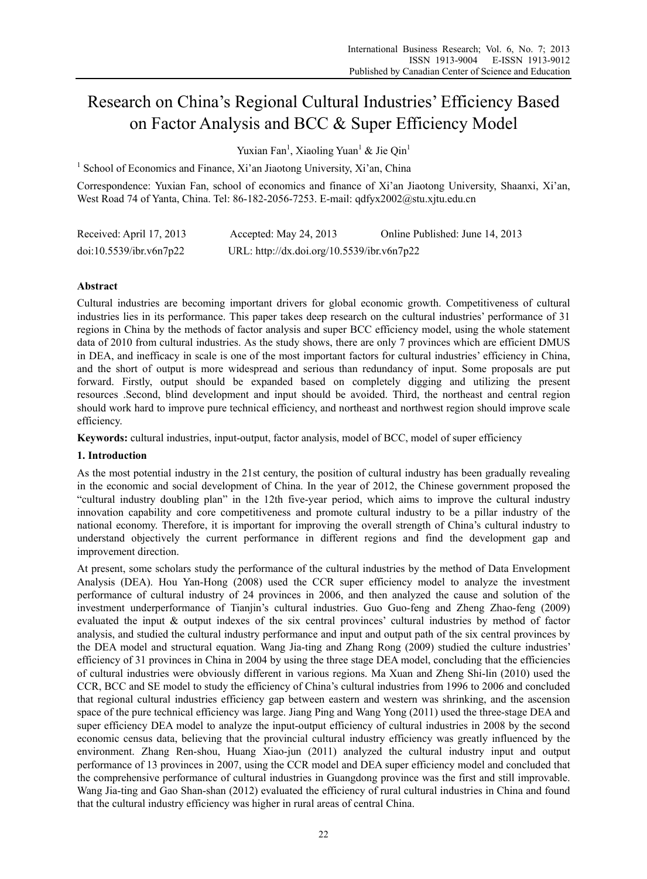# Research on China's Regional Cultural Industries' Efficiency Based on Factor Analysis and BCC & Super Efficiency Model

Yuxian Fan<sup>1</sup>, Xiaoling Yuan<sup>1</sup> & Jie Qin<sup>1</sup>

<sup>1</sup> School of Economics and Finance, Xi'an Jiaotong University, Xi'an, China

Correspondence: Yuxian Fan, school of economics and finance of Xi'an Jiaotong University, Shaanxi, Xi'an, West Road 74 of Yanta, China. Tel: 86-182-2056-7253. E-mail: qdfyx2002@stu.xjtu.edu.cn

| Received: April 17, 2013 | Accepted: May 24, 2013                     | Online Published: June 14, 2013 |
|--------------------------|--------------------------------------------|---------------------------------|
| doi:10.5539/ibr.v6n7p22  | URL: http://dx.doi.org/10.5539/ibr.v6n7p22 |                                 |

# **Abstract**

Cultural industries are becoming important drivers for global economic growth. Competitiveness of cultural industries lies in its performance. This paper takes deep research on the cultural industries' performance of 31 regions in China by the methods of factor analysis and super BCC efficiency model, using the whole statement data of 2010 from cultural industries. As the study shows, there are only 7 provinces which are efficient DMUS in DEA, and inefficacy in scale is one of the most important factors for cultural industries' efficiency in China, and the short of output is more widespread and serious than redundancy of input. Some proposals are put forward. Firstly, output should be expanded based on completely digging and utilizing the present resources .Second, blind development and input should be avoided. Third, the northeast and central region should work hard to improve pure technical efficiency, and northeast and northwest region should improve scale efficiency.

**Keywords:** cultural industries, input-output, factor analysis, model of BCC, model of super efficiency

## **1. Introduction**

As the most potential industry in the 21st century, the position of cultural industry has been gradually revealing in the economic and social development of China. In the year of 2012, the Chinese government proposed the "cultural industry doubling plan" in the 12th five-year period, which aims to improve the cultural industry innovation capability and core competitiveness and promote cultural industry to be a pillar industry of the national economy. Therefore, it is important for improving the overall strength of China's cultural industry to understand objectively the current performance in different regions and find the development gap and improvement direction.

At present, some scholars study the performance of the cultural industries by the method of Data Envelopment Analysis (DEA). Hou Yan-Hong (2008) used the CCR super efficiency model to analyze the investment performance of cultural industry of 24 provinces in 2006, and then analyzed the cause and solution of the investment underperformance of Tianjin's cultural industries. Guo Guo-feng and Zheng Zhao-feng (2009) evaluated the input & output indexes of the six central provinces' cultural industries by method of factor analysis, and studied the cultural industry performance and input and output path of the six central provinces by the DEA model and structural equation. Wang Jia-ting and Zhang Rong (2009) studied the culture industries' efficiency of 31 provinces in China in 2004 by using the three stage DEA model, concluding that the efficiencies of cultural industries were obviously different in various regions. Ma Xuan and Zheng Shi-lin (2010) used the CCR, BCC and SE model to study the efficiency of China's cultural industries from 1996 to 2006 and concluded that regional cultural industries efficiency gap between eastern and western was shrinking, and the ascension space of the pure technical efficiency was large. Jiang Ping and Wang Yong (2011) used the three-stage DEA and super efficiency DEA model to analyze the input-output efficiency of cultural industries in 2008 by the second economic census data, believing that the provincial cultural industry efficiency was greatly influenced by the environment. Zhang Ren-shou, Huang Xiao-jun (2011) analyzed the cultural industry input and output performance of 13 provinces in 2007, using the CCR model and DEA super efficiency model and concluded that the comprehensive performance of cultural industries in Guangdong province was the first and still improvable. Wang Jia-ting and Gao Shan-shan (2012) evaluated the efficiency of rural cultural industries in China and found that the cultural industry efficiency was higher in rural areas of central China.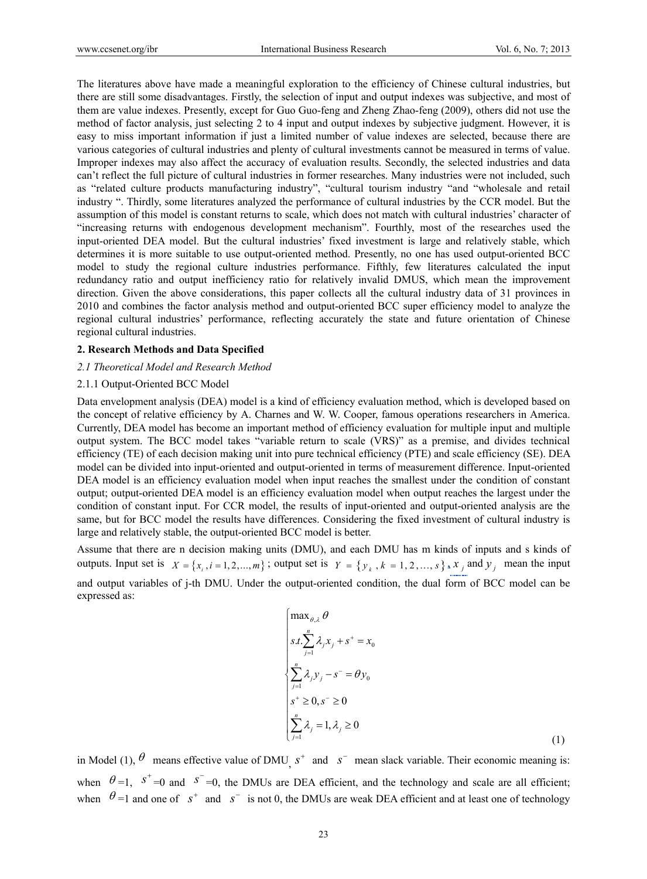The literatures above have made a meaningful exploration to the efficiency of Chinese cultural industries, but there are still some disadvantages. Firstly, the selection of input and output indexes was subjective, and most of them are value indexes. Presently, except for Guo Guo-feng and Zheng Zhao-feng (2009), others did not use the method of factor analysis, just selecting 2 to 4 input and output indexes by subjective judgment. However, it is easy to miss important information if just a limited number of value indexes are selected, because there are various categories of cultural industries and plenty of cultural investments cannot be measured in terms of value. Improper indexes may also affect the accuracy of evaluation results. Secondly, the selected industries and data can't reflect the full picture of cultural industries in former researches. Many industries were not included, such as "related culture products manufacturing industry", "cultural tourism industry "and "wholesale and retail industry ". Thirdly, some literatures analyzed the performance of cultural industries by the CCR model. But the assumption of this model is constant returns to scale, which does not match with cultural industries' character of "increasing returns with endogenous development mechanism". Fourthly, most of the researches used the input-oriented DEA model. But the cultural industries' fixed investment is large and relatively stable, which determines it is more suitable to use output-oriented method. Presently, no one has used output-oriented BCC model to study the regional culture industries performance. Fifthly, few literatures calculated the input redundancy ratio and output inefficiency ratio for relatively invalid DMUS, which mean the improvement direction. Given the above considerations, this paper collects all the cultural industry data of 31 provinces in 2010 and combines the factor analysis method and output-oriented BCC super efficiency model to analyze the regional cultural industries' performance, reflecting accurately the state and future orientation of Chinese regional cultural industries.

#### **2. Research Methods and Data Specified**

#### *2.1 Theoretical Model and Research Method*

#### 2.1.1 Output-Oriented BCC Model

Data envelopment analysis (DEA) model is a kind of efficiency evaluation method, which is developed based on the concept of relative efficiency by A. Charnes and W. W. Cooper, famous operations researchers in America. Currently, DEA model has become an important method of efficiency evaluation for multiple input and multiple output system. The BCC model takes "variable return to scale (VRS)" as a premise, and divides technical efficiency (TE) of each decision making unit into pure technical efficiency (PTE) and scale efficiency (SE). DEA model can be divided into input-oriented and output-oriented in terms of measurement difference. Input-oriented DEA model is an efficiency evaluation model when input reaches the smallest under the condition of constant output; output-oriented DEA model is an efficiency evaluation model when output reaches the largest under the condition of constant input. For CCR model, the results of input-oriented and output-oriented analysis are the same, but for BCC model the results have differences. Considering the fixed investment of cultural industry is large and relatively stable, the output-oriented BCC model is better.

Assume that there are n decision making units (DMU), and each DMU has m kinds of inputs and s kinds of outputs. Input set is  $X = \{x_i, i = 1, 2, ..., m\}$ ; output set is  $Y = \{y_k, k = 1, 2, ..., s\}$ .  $X_j$  and  $Y_j$  mean the input and output variables of j-th DMU. Under the output-oriented condition, the dual form of BCC model can be expressed as:

$$
\begin{cases}\n\max_{\theta, \lambda} \theta \\
s.t. \sum_{j=1}^{n} \lambda_j x_j + s^+ = x_0 \\
\sum_{j=1}^{n} \lambda_j y_j - s^- = \theta y_0 \\
s^+ \ge 0, s^- \ge 0 \\
\sum_{j=1}^{n} \lambda_j = 1, \lambda_j \ge 0\n\end{cases}
$$
\n(1)

in Model (1),  $\theta$  means effective value of DMU<sub>,</sub>  $s^+$  and  $s^-$  mean slack variable. Their economic meaning is: when  $\theta = 1$ ,  $s^+ = 0$  and  $s^- = 0$ , the DMUs are DEA efficient, and the technology and scale are all efficient; when  $\theta = 1$  and one of  $s^+$  and  $s^-$  is not 0, the DMUs are weak DEA efficient and at least one of technology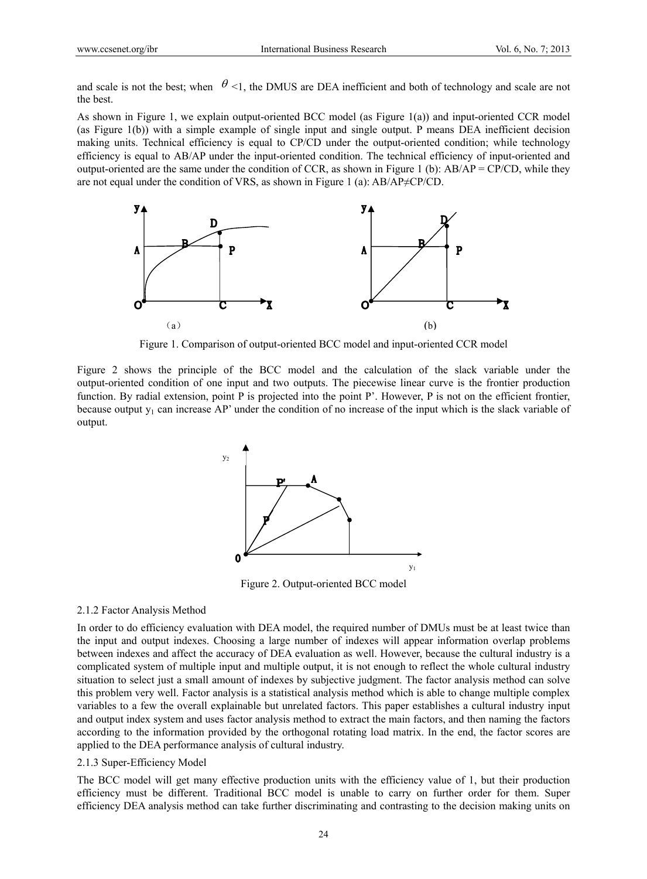and scale is not the best; when  $\theta$  <1, the DMUS are DEA inefficient and both of technology and scale are not the best.

As shown in Figure 1, we explain output-oriented BCC model (as Figure 1(a)) and input-oriented CCR model (as Figure 1(b)) with a simple example of single input and single output. P means DEA inefficient decision making units. Technical efficiency is equal to CP/CD under the output-oriented condition; while technology efficiency is equal to AB/AP under the input-oriented condition. The technical efficiency of input-oriented and output-oriented are the same under the condition of CCR, as shown in Figure 1 (b):  $AB/AP = CP/CD$ , while they are not equal under the condition of VRS, as shown in Figure 1 (a):  $AB/AP \neq CP/CD$ .



Figure 1. Comparison of output-oriented BCC model and input-oriented CCR model

Figure 2 shows the principle of the BCC model and the calculation of the slack variable under the output-oriented condition of one input and two outputs. The piecewise linear curve is the frontier production function. By radial extension, point P is projected into the point P'. However, P is not on the efficient frontier, because output  $y_1$  can increase AP' under the condition of no increase of the input which is the slack variable of output.



Figure 2. Output-oriented BCC model

#### 2.1.2 Factor Analysis Method

In order to do efficiency evaluation with DEA model, the required number of DMUs must be at least twice than the input and output indexes. Choosing a large number of indexes will appear information overlap problems between indexes and affect the accuracy of DEA evaluation as well. However, because the cultural industry is a complicated system of multiple input and multiple output, it is not enough to reflect the whole cultural industry situation to select just a small amount of indexes by subjective judgment. The factor analysis method can solve this problem very well. Factor analysis is a statistical analysis method which is able to change multiple complex variables to a few the overall explainable but unrelated factors. This paper establishes a cultural industry input and output index system and uses factor analysis method to extract the main factors, and then naming the factors according to the information provided by the orthogonal rotating load matrix. In the end, the factor scores are applied to the DEA performance analysis of cultural industry.

## 2.1.3 Super-Efficiency Model

The BCC model will get many effective production units with the efficiency value of 1, but their production efficiency must be different. Traditional BCC model is unable to carry on further order for them. Super efficiency DEA analysis method can take further discriminating and contrasting to the decision making units on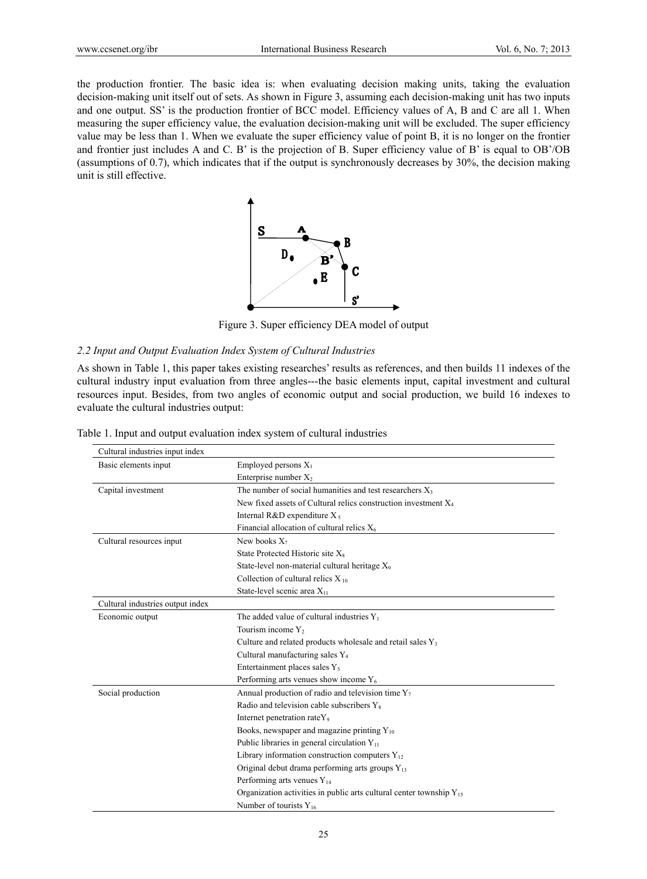the production frontier. The basic idea is: when evaluating decision making units, taking the evaluation decision-making unit itself out of sets. As shown in Figure 3, assuming each decision-making unit has two inputs and one output. SS' is the production frontier of BCC model. Efficiency values of A, B and C are all 1. When measuring the super efficiency value, the evaluation decision-making unit will be excluded. The super efficiency value may be less than 1. When we evaluate the super efficiency value of point B, it is no longer on the frontier and frontier just includes A and C. B' is the projection of B. Super efficiency value of B' is equal to OB'/OB (assumptions of 0.7), which indicates that if the output is synchronously decreases by 30%, the decision making unit is still effective.



Figure 3. Super efficiency DEA model of output

## *2.2 Input and Output Evaluation Index System of Cultural Industries*

As shown in Table 1, this paper takes existing researches' results as references, and then builds 11 indexes of the cultural industry input evaluation from three angles---the basic elements input, capital investment and cultural resources input. Besides, from two angles of economic output and social production, we build 16 indexes to evaluate the cultural industries output:

| Cultural industries input index  |                                                                          |  |  |  |  |  |
|----------------------------------|--------------------------------------------------------------------------|--|--|--|--|--|
| Basic elements input             | Employed persons $X_1$                                                   |  |  |  |  |  |
|                                  | Enterprise number $X_2$                                                  |  |  |  |  |  |
| Capital investment               | The number of social humanities and test researchers $X_3$               |  |  |  |  |  |
|                                  | New fixed assets of Cultural relics construction investment $X_4$        |  |  |  |  |  |
|                                  | Internal R&D expenditure $X_5$                                           |  |  |  |  |  |
|                                  | Financial allocation of cultural relics $X_6$                            |  |  |  |  |  |
| Cultural resources input         | New books $X_7$                                                          |  |  |  |  |  |
|                                  | State Protected Historic site $X_8$                                      |  |  |  |  |  |
|                                  | State-level non-material cultural heritage X <sub>9</sub>                |  |  |  |  |  |
|                                  | Collection of cultural relics $X_{10}$                                   |  |  |  |  |  |
|                                  | State-level scenic area X <sub>11</sub>                                  |  |  |  |  |  |
| Cultural industries output index |                                                                          |  |  |  |  |  |
| Economic output                  | The added value of cultural industries $Y_1$                             |  |  |  |  |  |
|                                  | Tourism income $Y_2$                                                     |  |  |  |  |  |
|                                  | Culture and related products wholesale and retail sales Y <sub>3</sub>   |  |  |  |  |  |
|                                  | Cultural manufacturing sales Y <sub>4</sub>                              |  |  |  |  |  |
|                                  | Entertainment places sales Y <sub>5</sub>                                |  |  |  |  |  |
|                                  | Performing arts venues show income $Y_6$                                 |  |  |  |  |  |
| Social production                | Annual production of radio and television time $Y_7$                     |  |  |  |  |  |
|                                  | Radio and television cable subscribers Y <sub>8</sub>                    |  |  |  |  |  |
|                                  | Internet penetration rateY <sub>9</sub>                                  |  |  |  |  |  |
|                                  | Books, newspaper and magazine printing $Y_{10}$                          |  |  |  |  |  |
|                                  | Public libraries in general circulation $Y_{11}$                         |  |  |  |  |  |
|                                  | Library information construction computers Y <sub>12</sub>               |  |  |  |  |  |
|                                  | Original debut drama performing arts groups $Y_{13}$                     |  |  |  |  |  |
|                                  | Performing arts venues $Y_{14}$                                          |  |  |  |  |  |
|                                  | Organization activities in public arts cultural center township $Y_{15}$ |  |  |  |  |  |
|                                  | Number of tourists $Y_{16}$                                              |  |  |  |  |  |

Table 1. Input and output evaluation index system of cultural industries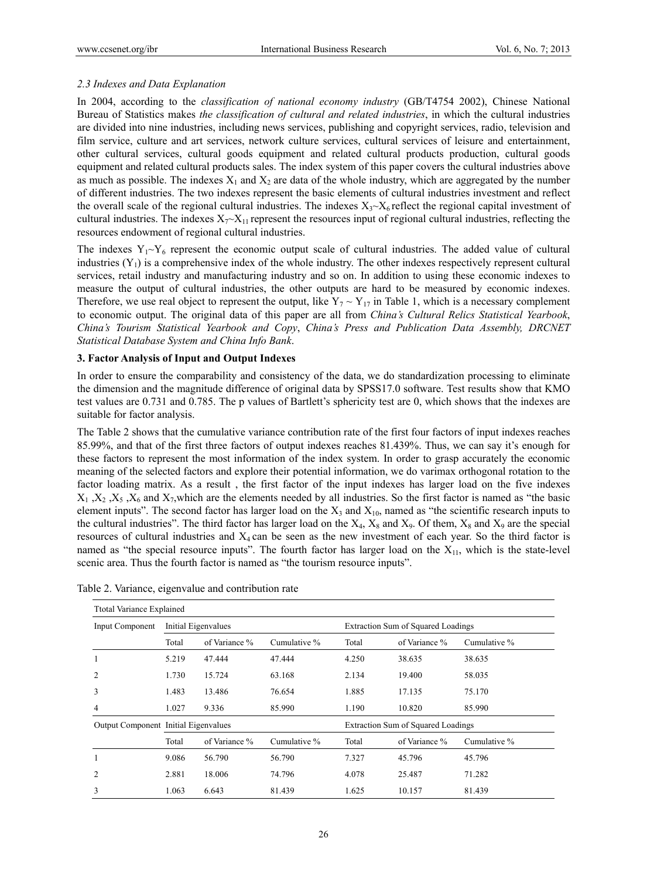## *2.3 Indexes and Data Explanation*

In 2004, according to the *classification of national economy industry* (GB/T4754 2002), Chinese National Bureau of Statistics makes *the classification of cultural and related industries*, in which the cultural industries are divided into nine industries, including news services, publishing and copyright services, radio, television and film service, culture and art services, network culture services, cultural services of leisure and entertainment, other cultural services, cultural goods equipment and related cultural products production, cultural goods equipment and related cultural products sales. The index system of this paper covers the cultural industries above as much as possible. The indexes  $X_1$  and  $X_2$  are data of the whole industry, which are aggregated by the number of different industries. The two indexes represent the basic elements of cultural industries investment and reflect the overall scale of the regional cultural industries. The indexes  $X_3 - X_6$  reflect the regional capital investment of cultural industries. The indexes  $X_7 - X_{11}$  represent the resources input of regional cultural industries, reflecting the resources endowment of regional cultural industries.

The indexes  $Y_1 \sim Y_6$  represent the economic output scale of cultural industries. The added value of cultural industries  $(Y_1)$  is a comprehensive index of the whole industry. The other indexes respectively represent cultural services, retail industry and manufacturing industry and so on. In addition to using these economic indexes to measure the output of cultural industries, the other outputs are hard to be measured by economic indexes. Therefore, we use real object to represent the output, like  $Y_7 \sim Y_{17}$  in Table 1, which is a necessary complement to economic output. The original data of this paper are all from *China's Cultural Relics Statistical Yearbook*, *China's Tourism Statistical Yearbook and Copy*, *China's Press and Publication Data Assembly, DRCNET Statistical Database System and China Info Bank*.

## **3. Factor Analysis of Input and Output Indexes**

In order to ensure the comparability and consistency of the data, we do standardization processing to eliminate the dimension and the magnitude difference of original data by SPSS17.0 software. Test results show that KMO test values are 0.731 and 0.785. The p values of Bartlett's sphericity test are 0, which shows that the indexes are suitable for factor analysis.

The Table 2 shows that the cumulative variance contribution rate of the first four factors of input indexes reaches 85.99%, and that of the first three factors of output indexes reaches 81.439%. Thus, we can say it's enough for these factors to represent the most information of the index system. In order to grasp accurately the economic meaning of the selected factors and explore their potential information, we do varimax orthogonal rotation to the factor loading matrix. As a result , the first factor of the input indexes has larger load on the five indexes  $X_1, X_2, X_5, X_6$  and  $X_7$ , which are the elements needed by all industries. So the first factor is named as "the basic element inputs". The second factor has larger load on the  $X_3$  and  $X_{10}$ , named as "the scientific research inputs to the cultural industries". The third factor has larger load on the  $X_4$ ,  $X_8$  and  $X_9$ . Of them,  $X_8$  and  $X_9$  are the special resources of cultural industries and  $X_4$  can be seen as the new investment of each year. So the third factor is named as "the special resource inputs". The fourth factor has larger load on the  $X_{11}$ , which is the state-level scenic area. Thus the fourth factor is named as "the tourism resource inputs".

| <b>Ttotal Variance Explained</b>     |       |                     |                                    |       |                                           |              |  |  |  |  |
|--------------------------------------|-------|---------------------|------------------------------------|-------|-------------------------------------------|--------------|--|--|--|--|
| Input Component                      |       | Initial Eigenvalues |                                    |       | <b>Extraction Sum of Squared Loadings</b> |              |  |  |  |  |
|                                      | Total | of Variance %       | Cumulative %                       |       | of Variance %                             | Cumulative % |  |  |  |  |
|                                      | 5.219 | 47.444              | 47.444                             | 4.250 | 38.635                                    | 38.635       |  |  |  |  |
| $\overline{c}$                       | 1.730 | 15.724              | 63.168                             | 2.134 | 19.400                                    | 58.035       |  |  |  |  |
| 3                                    | 1.483 | 13.486              | 76.654                             | 1.885 | 17.135                                    | 75.170       |  |  |  |  |
| 4                                    | 1.027 | 9.336               | 85.990                             | 1.190 | 10.820                                    | 85.990       |  |  |  |  |
| Output Component Initial Eigenvalues |       |                     | Extraction Sum of Squared Loadings |       |                                           |              |  |  |  |  |
|                                      | Total | of Variance %       | Cumulative %                       | Total | of Variance %                             | Cumulative % |  |  |  |  |
|                                      | 9.086 | 56.790              | 56.790                             | 7.327 | 45.796                                    | 45.796       |  |  |  |  |
| $\overline{c}$                       | 2.881 | 18.006              | 74.796                             | 4.078 | 25.487                                    | 71.282       |  |  |  |  |
| 3                                    | 1.063 | 6.643               | 81.439                             | 1.625 | 10.157                                    | 81.439       |  |  |  |  |

Table 2. Variance, eigenvalue and contribution rate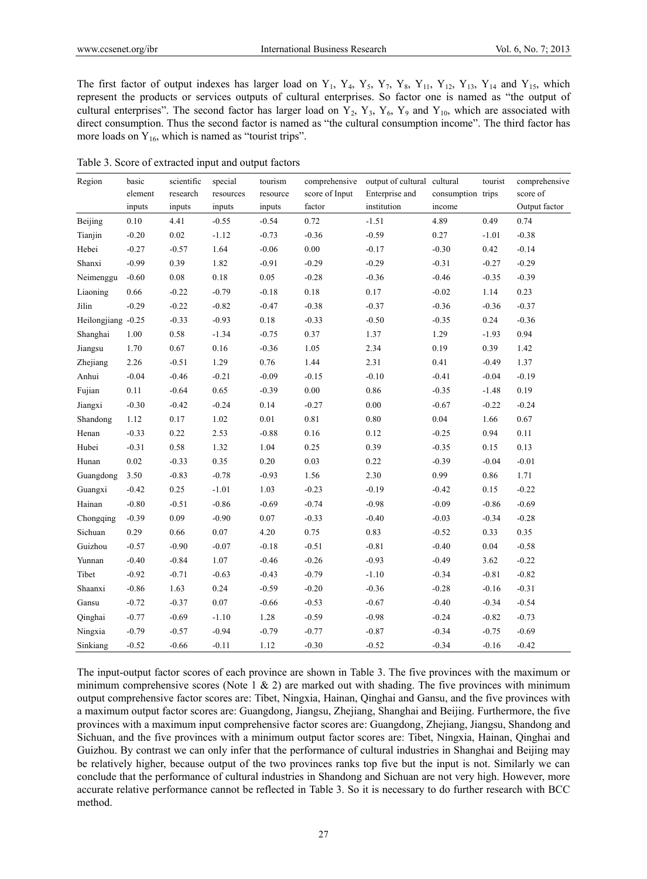The first factor of output indexes has larger load on  $Y_1$ ,  $Y_4$ ,  $Y_5$ ,  $Y_7$ ,  $Y_8$ ,  $Y_{11}$ ,  $Y_{12}$ ,  $Y_{13}$ ,  $Y_{14}$  and  $Y_{15}$ , which represent the products or services outputs of cultural enterprises. So factor one is named as "the output of cultural enterprises". The second factor has larger load on  $Y_2$ ,  $Y_3$ ,  $Y_6$ ,  $Y_9$  and  $Y_{10}$ , which are associated with direct consumption. Thus the second factor is named as "the cultural consumption income". The third factor has more loads on  $Y_{16}$ , which is named as "tourist trips".

Table 3. Score of extracted input and output factors

| Region             | basic    | scientific | special   | tourism  | comprehensive  | output of cultural cultural |                   | tourist | comprehensive |
|--------------------|----------|------------|-----------|----------|----------------|-----------------------------|-------------------|---------|---------------|
|                    | element  | research   | resources | resource | score of Input | Enterprise and              | consumption trips |         | score of      |
|                    | inputs   | inputs     | inputs    | inputs   | factor         | institution                 | income            |         | Output factor |
| Beijing            | 0.10     | 4.41       | $-0.55$   | $-0.54$  | 0.72           | $-1.51$                     | 4.89              | 0.49    | 0.74          |
| Tianjin            | $-0.20$  | $0.02\,$   | $-1.12$   | $-0.73$  | $-0.36$        | $-0.59$                     | 0.27              | $-1.01$ | $-0.38$       |
| Hebei              | $-0.27$  | $-0.57$    | 1.64      | $-0.06$  | 0.00           | $-0.17$                     | $-0.30$           | 0.42    | $-0.14$       |
| Shanxi             | $-0.99$  | 0.39       | 1.82      | $-0.91$  | $-0.29$        | $-0.29$                     | $-0.31$           | $-0.27$ | $-0.29$       |
| Neimenggu          | $-0.60$  | 0.08       | $0.18\,$  | $0.05\,$ | $-0.28$        | $-0.36$                     | $-0.46$           | $-0.35$ | $-0.39$       |
| Liaoning           | 0.66     | $-0.22$    | $-0.79$   | $-0.18$  | 0.18           | 0.17                        | $-0.02$           | 1.14    | 0.23          |
| Jilin              | $-0.29$  | $-0.22$    | $-0.82$   | $-0.47$  | $-0.38$        | $-0.37$                     | $-0.36$           | $-0.36$ | $-0.37$       |
| Heilongjiang -0.25 |          | $-0.33$    | $-0.93$   | 0.18     | $-0.33$        | $-0.50$                     | $-0.35$           | 0.24    | $-0.36$       |
| Shanghai           | 1.00     | 0.58       | $-1.34$   | $-0.75$  | 0.37           | 1.37                        | 1.29              | $-1.93$ | 0.94          |
| Jiangsu            | 1.70     | 0.67       | 0.16      | $-0.36$  | 1.05           | 2.34                        | 0.19              | 0.39    | 1.42          |
| Zhejiang           | 2.26     | $-0.51$    | 1.29      | 0.76     | 1.44           | 2.31                        | 0.41              | $-0.49$ | 1.37          |
| Anhui              | $-0.04$  | $-0.46$    | $-0.21$   | $-0.09$  | $-0.15$        | $-0.10$                     | $-0.41$           | $-0.04$ | $-0.19$       |
| Fujian             | $0.11\,$ | $-0.64$    | 0.65      | $-0.39$  | $0.00\,$       | 0.86                        | $-0.35$           | $-1.48$ | 0.19          |
| Jiangxi            | $-0.30$  | $-0.42$    | $-0.24$   | 0.14     | $-0.27$        | $0.00\,$                    | $-0.67$           | $-0.22$ | $-0.24$       |
| Shandong           | 1.12     | 0.17       | 1.02      | 0.01     | 0.81           | $0.80\,$                    | 0.04              | 1.66    | 0.67          |
| Henan              | $-0.33$  | 0.22       | 2.53      | $-0.88$  | 0.16           | 0.12                        | $-0.25$           | 0.94    | 0.11          |
| Hubei              | $-0.31$  | 0.58       | 1.32      | 1.04     | 0.25           | 0.39                        | $-0.35$           | 0.15    | 0.13          |
| Hunan              | $0.02\,$ | $-0.33$    | 0.35      | 0.20     | 0.03           | 0.22                        | $-0.39$           | $-0.04$ | $-0.01$       |
| Guangdong          | 3.50     | $-0.83$    | $-0.78$   | $-0.93$  | 1.56           | 2.30                        | 0.99              | 0.86    | 1.71          |
| Guangxi            | $-0.42$  | 0.25       | $-1.01$   | 1.03     | $-0.23$        | $-0.19$                     | $-0.42$           | 0.15    | $-0.22$       |
| Hainan             | $-0.80$  | $-0.51$    | $-0.86$   | $-0.69$  | $-0.74$        | $-0.98$                     | $-0.09$           | $-0.86$ | $-0.69$       |
| Chongqing          | $-0.39$  | 0.09       | $-0.90$   | $0.07\,$ | $-0.33$        | $-0.40$                     | $-0.03$           | $-0.34$ | $-0.28$       |
| Sichuan            | 0.29     | 0.66       | 0.07      | 4.20     | 0.75           | 0.83                        | $-0.52$           | 0.33    | 0.35          |
| Guizhou            | $-0.57$  | $-0.90$    | $-0.07$   | $-0.18$  | $-0.51$        | $-0.81$                     | $-0.40$           | 0.04    | $-0.58$       |
| Yunnan             | $-0.40$  | $-0.84$    | 1.07      | $-0.46$  | $-0.26$        | $-0.93$                     | $-0.49$           | 3.62    | $-0.22$       |
| Tibet              | $-0.92$  | $-0.71$    | $-0.63$   | $-0.43$  | $-0.79$        | $-1.10$                     | $-0.34$           | $-0.81$ | $-0.82$       |
| Shaanxi            | $-0.86$  | 1.63       | 0.24      | $-0.59$  | $-0.20$        | $-0.36$                     | $-0.28$           | $-0.16$ | $-0.31$       |
| Gansu              | $-0.72$  | $-0.37$    | 0.07      | $-0.66$  | $-0.53$        | $-0.67$                     | $-0.40$           | $-0.34$ | $-0.54$       |
| Qinghai            | $-0.77$  | $-0.69$    | $-1.10$   | 1.28     | $-0.59$        | $-0.98$                     | $-0.24$           | $-0.82$ | $-0.73$       |
| Ningxia            | $-0.79$  | $-0.57$    | $-0.94$   | $-0.79$  | $-0.77$        | $-0.87$                     | $-0.34$           | $-0.75$ | $-0.69$       |
| Sinkiang           | $-0.52$  | $-0.66$    | $-0.11$   | 1.12     | $-0.30$        | $-0.52$                     | $-0.34$           | $-0.16$ | $-0.42$       |

The input-output factor scores of each province are shown in Table 3. The five provinces with the maximum or minimum comprehensive scores (Note  $1 \& 2$ ) are marked out with shading. The five provinces with minimum output comprehensive factor scores are: Tibet, Ningxia, Hainan, Qinghai and Gansu, and the five provinces with a maximum output factor scores are: Guangdong, Jiangsu, Zhejiang, Shanghai and Beijing. Furthermore, the five provinces with a maximum input comprehensive factor scores are: Guangdong, Zhejiang, Jiangsu, Shandong and Sichuan, and the five provinces with a minimum output factor scores are: Tibet, Ningxia, Hainan, Qinghai and Guizhou. By contrast we can only infer that the performance of cultural industries in Shanghai and Beijing may be relatively higher, because output of the two provinces ranks top five but the input is not. Similarly we can conclude that the performance of cultural industries in Shandong and Sichuan are not very high. However, more accurate relative performance cannot be reflected in Table 3. So it is necessary to do further research with BCC method.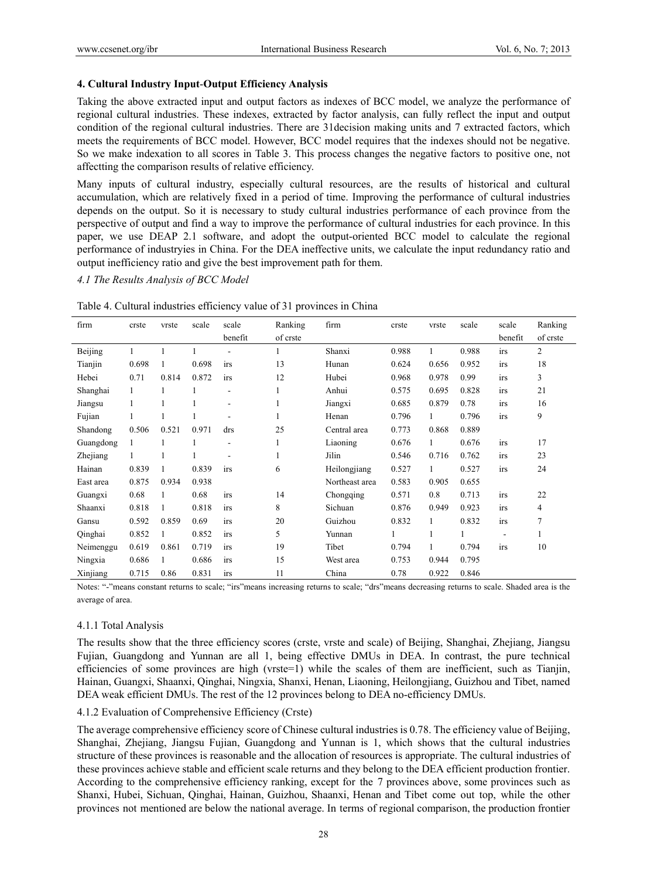## **4. Cultural Industry Input**-**Output Efficiency Analysis**

Taking the above extracted input and output factors as indexes of BCC model, we analyze the performance of regional cultural industries. These indexes, extracted by factor analysis, can fully reflect the input and output condition of the regional cultural industries. There are 31decision making units and 7 extracted factors, which meets the requirements of BCC model. However, BCC model requires that the indexes should not be negative. So we make indexation to all scores in Table 3. This process changes the negative factors to positive one, not affectting the comparison results of relative efficiency.

Many inputs of cultural industry, especially cultural resources, are the results of historical and cultural accumulation, which are relatively fixed in a period of time. Improving the performance of cultural industries depends on the output. So it is necessary to study cultural industries performance of each province from the perspective of output and find a way to improve the performance of cultural industries for each province. In this paper, we use DEAP 2.1 software, and adopt the output-oriented BCC model to calculate the regional performance of industryies in China. For the DEA ineffective units, we calculate the input redundancy ratio and output inefficiency ratio and give the best improvement path for them.

## *4.1 The Results Analysis of BCC Model*

| firm      | crste | vrste | scale | scale   | Ranking  | firm           | crste | vrste | scale | scale   | Ranking  |
|-----------|-------|-------|-------|---------|----------|----------------|-------|-------|-------|---------|----------|
|           |       |       |       | benefit | of crste |                |       |       |       | benefit | of crste |
| Beijing   |       |       |       |         |          | Shanxi         | 0.988 | 1     | 0.988 | irs     | 2        |
| Tianjin   | 0.698 | 1     | 0.698 | irs     | 13       | Hunan          | 0.624 | 0.656 | 0.952 | irs     | 18       |
| Hebei     | 0.71  | 0.814 | 0.872 | irs     | 12       | Hubei          | 0.968 | 0.978 | 0.99  | irs     | 3        |
| Shanghai  | 1     |       | 1     |         |          | Anhui          | 0.575 | 0.695 | 0.828 | irs     | 21       |
| Jiangsu   | 1     |       | 1     | ۰       | 1        | Jiangxi        | 0.685 | 0.879 | 0.78  | irs     | 16       |
| Fujian    | 1     |       | 1     | ۰       | 1        | Henan          | 0.796 | 1     | 0.796 | irs     | 9        |
| Shandong  | 0.506 | 0.521 | 0.971 | drs     | 25       | Central area   | 0.773 | 0.868 | 0.889 |         |          |
| Guangdong | 1     |       | 1     | ۰       | 1        | Liaoning       | 0.676 | 1     | 0.676 | irs     | 17       |
| Zhejiang  | 1     |       | 1     |         | 1        | Jilin          | 0.546 | 0.716 | 0.762 | irs     | 23       |
| Hainan    | 0.839 |       | 0.839 | irs     | 6        | Heilongjiang   | 0.527 | 1     | 0.527 | irs     | 24       |
| East area | 0.875 | 0.934 | 0.938 |         |          | Northeast area | 0.583 | 0.905 | 0.655 |         |          |
| Guangxi   | 0.68  |       | 0.68  | irs     | 14       | Chongqing      | 0.571 | 0.8   | 0.713 | irs     | 22       |
| Shaanxi   | 0.818 | 1     | 0.818 | irs     | 8        | Sichuan        | 0.876 | 0.949 | 0.923 | irs     | 4        |
| Gansu     | 0.592 | 0.859 | 0.69  | irs     | 20       | Guizhou        | 0.832 | 1     | 0.832 | irs     | 7        |
| Qinghai   | 0.852 |       | 0.852 | irs     | 5        | Yunnan         |       | 1     | 1     |         |          |
| Neimenggu | 0.619 | 0.861 | 0.719 | irs     | 19       | Tibet          | 0.794 |       | 0.794 | irs     | 10       |
| Ningxia   | 0.686 | 1     | 0.686 | irs     | 15       | West area      | 0.753 | 0.944 | 0.795 |         |          |
| Xinjiang  | 0.715 | 0.86  | 0.831 | irs     | 11       | China          | 0.78  | 0.922 | 0.846 |         |          |

Table 4. Cultural industries efficiency value of 31 provinces in China

Notes: "-"means constant returns to scale; "irs"means increasing returns to scale; "drs"means decreasing returns to scale. Shaded area is the average of area.

## 4.1.1 Total Analysis

The results show that the three efficiency scores (crste, vrste and scale) of Beijing, Shanghai, Zhejiang, Jiangsu Fujian, Guangdong and Yunnan are all 1, being effective DMUs in DEA. In contrast, the pure technical efficiencies of some provinces are high (vrste=1) while the scales of them are inefficient, such as Tianjin, Hainan, Guangxi, Shaanxi, Qinghai, Ningxia, Shanxi, Henan, Liaoning, Heilongjiang, Guizhou and Tibet, named DEA weak efficient DMUs. The rest of the 12 provinces belong to DEA no-efficiency DMUs.

# 4.1.2 Evaluation of Comprehensive Efficiency (Crste)

The average comprehensive efficiency score of Chinese cultural industries is 0.78. The efficiency value of Beijing, Shanghai, Zhejiang, Jiangsu Fujian, Guangdong and Yunnan is 1, which shows that the cultural industries structure of these provinces is reasonable and the allocation of resources is appropriate. The cultural industries of these provinces achieve stable and efficient scale returns and they belong to the DEA efficient production frontier. According to the comprehensive efficiency ranking, except for the 7 provinces above, some provinces such as Shanxi, Hubei, Sichuan, Qinghai, Hainan, Guizhou, Shaanxi, Henan and Tibet come out top, while the other provinces not mentioned are below the national average. In terms of regional comparison, the production frontier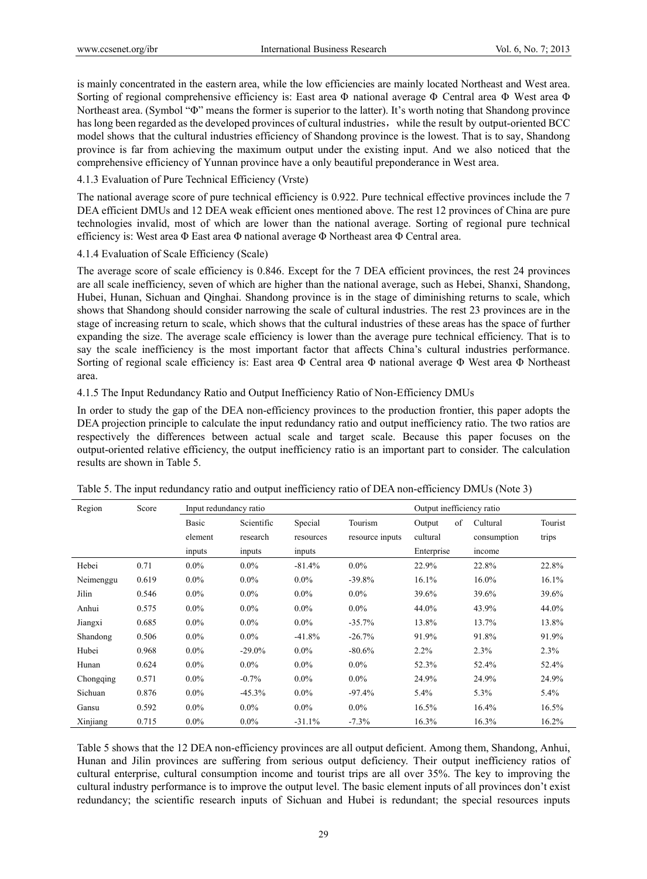is mainly concentrated in the eastern area, while the low efficiencies are mainly located Northeast and West area. Sorting of regional comprehensive efficiency is: East area Φ national average Φ Central area Φ West area Φ Northeast area. (Symbol "Φ" means the former is superior to the latter). It's worth noting that Shandong province has long been regarded as the developed provinces of cultural industries, while the result by output-oriented BCC model shows that the cultural industries efficiency of Shandong province is the lowest. That is to say, Shandong province is far from achieving the maximum output under the existing input. And we also noticed that the comprehensive efficiency of Yunnan province have a only beautiful preponderance in West area.

#### 4.1.3 Evaluation of Pure Technical Efficiency (Vrste)

The national average score of pure technical efficiency is 0.922. Pure technical effective provinces include the 7 DEA efficient DMUs and 12 DEA weak efficient ones mentioned above. The rest 12 provinces of China are pure technologies invalid, most of which are lower than the national average. Sorting of regional pure technical efficiency is: West area Φ East area Φ national average Φ Northeast area Φ Central area.

#### 4.1.4 Evaluation of Scale Efficiency (Scale)

The average score of scale efficiency is 0.846. Except for the 7 DEA efficient provinces, the rest 24 provinces are all scale inefficiency, seven of which are higher than the national average, such as Hebei, Shanxi, Shandong, Hubei, Hunan, Sichuan and Qinghai. Shandong province is in the stage of diminishing returns to scale, which shows that Shandong should consider narrowing the scale of cultural industries. The rest 23 provinces are in the stage of increasing return to scale, which shows that the cultural industries of these areas has the space of further expanding the size. The average scale efficiency is lower than the average pure technical efficiency. That is to say the scale inefficiency is the most important factor that affects China's cultural industries performance. Sorting of regional scale efficiency is: East area Φ Central area Φ national average Φ West area Φ Northeast area.

#### 4.1.5 The Input Redundancy Ratio and Output Inefficiency Ratio of Non-Efficiency DMUs

In order to study the gap of the DEA non-efficiency provinces to the production frontier, this paper adopts the DEA projection principle to calculate the input redundancy ratio and output inefficiency ratio. The two ratios are respectively the differences between actual scale and target scale. Because this paper focuses on the output-oriented relative efficiency, the output inefficiency ratio is an important part to consider. The calculation results are shown in Table 5.

| Region    | Score | Input redundancy ratio |            |           | Output inefficiency ratio |              |             |         |
|-----------|-------|------------------------|------------|-----------|---------------------------|--------------|-------------|---------|
|           |       | Basic                  | Scientific | Special   | Tourism                   | of<br>Output | Cultural    | Tourist |
|           |       | element                | research   | resources | resource inputs           | cultural     | consumption | trips   |
|           |       | inputs                 | inputs     | inputs    |                           | Enterprise   | income      |         |
| Hebei     | 0.71  | $0.0\%$                | $0.0\%$    | $-81.4%$  | $0.0\%$                   | 22.9%        | 22.8%       | 22.8%   |
| Neimenggu | 0.619 | $0.0\%$                | $0.0\%$    | $0.0\%$   | $-39.8%$                  | 16.1%        | 16.0%       | 16.1%   |
| Jilin     | 0.546 | $0.0\%$                | $0.0\%$    | $0.0\%$   | $0.0\%$                   | 39.6%        | 39.6%       | 39.6%   |
| Anhui     | 0.575 | $0.0\%$                | $0.0\%$    | $0.0\%$   | $0.0\%$                   | 44.0%        | 43.9%       | 44.0%   |
| Jiangxi   | 0.685 | $0.0\%$                | $0.0\%$    | $0.0\%$   | $-35.7%$                  | 13.8%        | 13.7%       | 13.8%   |
| Shandong  | 0.506 | $0.0\%$                | $0.0\%$    | $-41.8%$  | $-26.7%$                  | 91.9%        | 91.8%       | 91.9%   |
| Hubei     | 0.968 | $0.0\%$                | $-29.0\%$  | $0.0\%$   | $-80.6%$                  | 2.2%         | 2.3%        | 2.3%    |
| Hunan     | 0.624 | $0.0\%$                | $0.0\%$    | $0.0\%$   | $0.0\%$                   | 52.3%        | 52.4%       | 52.4%   |
| Chongqing | 0.571 | $0.0\%$                | $-0.7\%$   | $0.0\%$   | $0.0\%$                   | 24.9%        | 24.9%       | 24.9%   |
| Sichuan   | 0.876 | $0.0\%$                | $-45.3%$   | $0.0\%$   | $-97.4%$                  | $5.4\%$      | 5.3%        | $5.4\%$ |
| Gansu     | 0.592 | $0.0\%$                | $0.0\%$    | $0.0\%$   | $0.0\%$                   | 16.5%        | 16.4%       | 16.5%   |
| Xinjiang  | 0.715 | $0.0\%$                | $0.0\%$    | $-31.1%$  | $-7.3%$                   | 16.3%        | 16.3%       | 16.2%   |

| Table 5. The input redundancy ratio and output inefficiency ratio of DEA non-efficiency DMUs (Note 3) |
|-------------------------------------------------------------------------------------------------------|
|-------------------------------------------------------------------------------------------------------|

Table 5 shows that the 12 DEA non-efficiency provinces are all output deficient. Among them, Shandong, Anhui, Hunan and Jilin provinces are suffering from serious output deficiency. Their output inefficiency ratios of cultural enterprise, cultural consumption income and tourist trips are all over 35%. The key to improving the cultural industry performance is to improve the output level. The basic element inputs of all provinces don't exist redundancy; the scientific research inputs of Sichuan and Hubei is redundant; the special resources inputs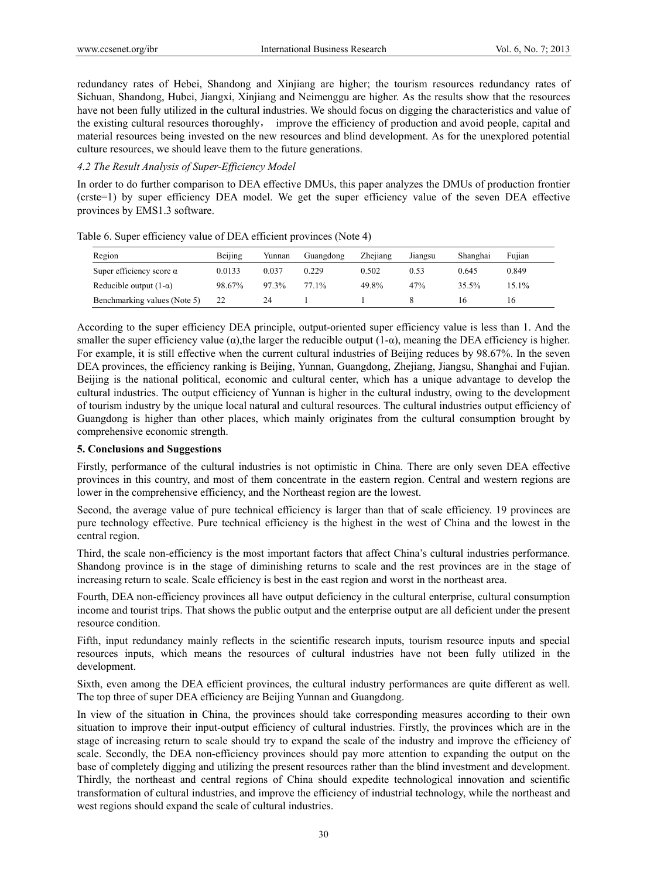redundancy rates of Hebei, Shandong and Xinjiang are higher; the tourism resources redundancy rates of Sichuan, Shandong, Hubei, Jiangxi, Xinjiang and Neimenggu are higher. As the results show that the resources have not been fully utilized in the cultural industries. We should focus on digging the characteristics and value of the existing cultural resources thoroughly, improve the efficiency of production and avoid people, capital and material resources being invested on the new resources and blind development. As for the unexplored potential culture resources, we should leave them to the future generations.

## *4.2 The Result Analysis of Super-Efficiency Model*

In order to do further comparison to DEA effective DMUs, this paper analyzes the DMUs of production frontier (crste=1) by super efficiency DEA model. We get the super efficiency value of the seven DEA effective provinces by EMS1.3 software.

| Region                          | Beijing | Yunnan | Guangdong | Zhejiang | Jiangsu | Shanghai | Fuiian |
|---------------------------------|---------|--------|-----------|----------|---------|----------|--------|
| Super efficiency score $\alpha$ | 0.0133  | 0.037  | 0.229     | 0.502    | 0.53    | 0.645    | 0.849  |
| Reducible output $(1-\alpha)$   | 98.67%  | 97.3%  | 77 1%     | 49.8%    | 47%     | 35.5%    | 15.1%  |
| Benchmarking values (Note 5)    | 22      | 24     |           |          |         | Iб       | 16     |

Table 6. Super efficiency value of DEA efficient provinces (Note 4)

According to the super efficiency DEA principle, output-oriented super efficiency value is less than 1. And the smaller the super efficiency value  $(\alpha)$ , the larger the reducible output  $(1-\alpha)$ , meaning the DEA efficiency is higher. For example, it is still effective when the current cultural industries of Beijing reduces by 98.67%. In the seven DEA provinces, the efficiency ranking is Beijing, Yunnan, Guangdong, Zhejiang, Jiangsu, Shanghai and Fujian. Beijing is the national political, economic and cultural center, which has a unique advantage to develop the cultural industries. The output efficiency of Yunnan is higher in the cultural industry, owing to the development of tourism industry by the unique local natural and cultural resources. The cultural industries output efficiency of Guangdong is higher than other places, which mainly originates from the cultural consumption brought by comprehensive economic strength.

## **5. Conclusions and Suggestions**

Firstly, performance of the cultural industries is not optimistic in China. There are only seven DEA effective provinces in this country, and most of them concentrate in the eastern region. Central and western regions are lower in the comprehensive efficiency, and the Northeast region are the lowest.

Second, the average value of pure technical efficiency is larger than that of scale efficiency. 19 provinces are pure technology effective. Pure technical efficiency is the highest in the west of China and the lowest in the central region.

Third, the scale non-efficiency is the most important factors that affect China's cultural industries performance. Shandong province is in the stage of diminishing returns to scale and the rest provinces are in the stage of increasing return to scale. Scale efficiency is best in the east region and worst in the northeast area.

Fourth, DEA non-efficiency provinces all have output deficiency in the cultural enterprise, cultural consumption income and tourist trips. That shows the public output and the enterprise output are all deficient under the present resource condition.

Fifth, input redundancy mainly reflects in the scientific research inputs, tourism resource inputs and special resources inputs, which means the resources of cultural industries have not been fully utilized in the development.

Sixth, even among the DEA efficient provinces, the cultural industry performances are quite different as well. The top three of super DEA efficiency are Beijing Yunnan and Guangdong.

In view of the situation in China, the provinces should take corresponding measures according to their own situation to improve their input-output efficiency of cultural industries. Firstly, the provinces which are in the stage of increasing return to scale should try to expand the scale of the industry and improve the efficiency of scale. Secondly, the DEA non-efficiency provinces should pay more attention to expanding the output on the base of completely digging and utilizing the present resources rather than the blind investment and development. Thirdly, the northeast and central regions of China should expedite technological innovation and scientific transformation of cultural industries, and improve the efficiency of industrial technology, while the northeast and west regions should expand the scale of cultural industries.